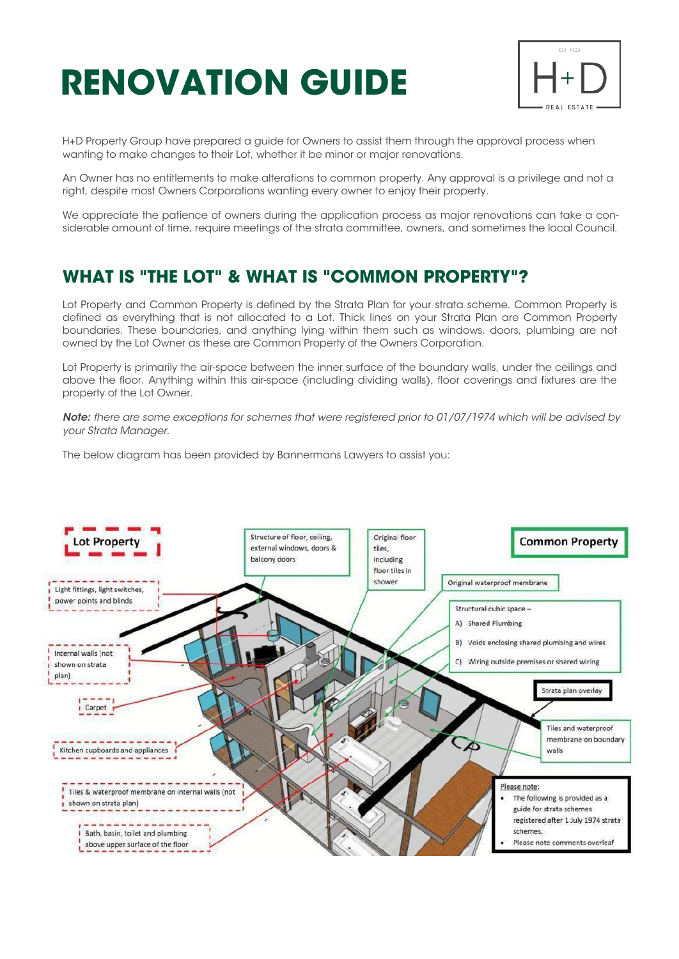# **RENOVATION GUIDE**



H+D Property Group have prepared a guide for Owners to assist them through the approval process when wanting to make changes to their Lot, whether it be minor or major renovations.

An Owner has no entitlements to make alterations to common property. Any approval is a privilege and not a right, despite most Owners Corporations wanting every owner to enjoy their property.

We appreciate the patience of owners during the application process as major renovations can take a considerable amount of time, require meetings of the strata committee, owners, and sometimes the local Council.

# **WHAT IS "THE LOT" & WHAT IS "COMMON PROPERTY"?**

Lot Property and Common Property is defined by the Strata Plan for your strata scheme. Common Property is defined as everything that is not allocated to a Lot. Thick lines on your Strata Plan are Common Property boundaries. These boundaries, and anything lying within them such as windows, doors, plumbing are not owned by the Lot Owner as these are Common Property of the Owners Corporation.

Lot Property is primarily the air-space between the inner surface of the boundary walls, under the ceilings and above the floor. Anything within this air-space (including dividing walls), floor coverings and fixtures are the property of the Lot Owner.

*Note: there are some exceptions for schemes that were registered prior to 01/07/1974 which will be advised by your Strata Manager.*

The below diagram has been provided by Bannermans Lawyers to assist you:

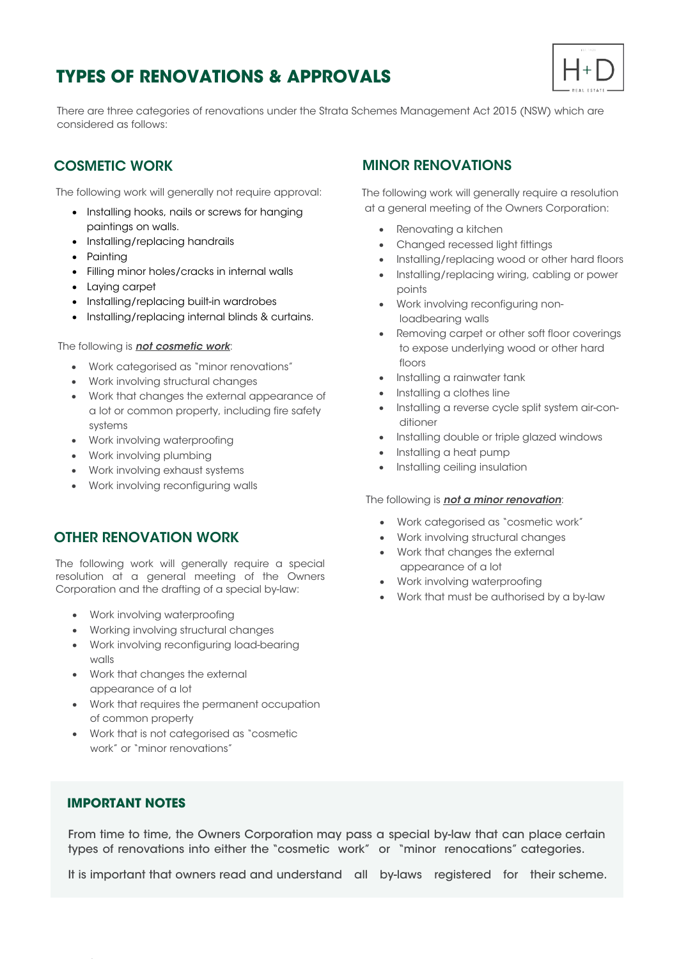# **TYPES OF RENOVATIONS & APPROVALS**



There are three categories of renovations under the Strata Schemes Management Act 2015 (NSW) which are considered as follows:

#### COSMETIC WORK

The following work will generally not require approval:

- · Installing hooks, nails or screws for hanging paintings on walls.
- · Installing/replacing handrails
- · Painting
- · Filling minor holes/cracks in internal walls
- · Laying carpet
- · Installing/replacing built-in wardrobes
- · Installing/replacing internal blinds & curtains.

#### The following is *not cosmetic work*:

- · Work categorised as "minor renovations"
- · Work involving structural changes
- · Work that changes the external appearance of a lot or common property, including fire safety systems
- · Work involving waterproofing
- · Work involving plumbing
- · Work involving exhaust systems
- · Work involving reconfiguring walls

#### OTHER RENOVATION WORK

The following work will generally require a special resolution at a general meeting of the Owners Corporation and the drafting of a special by-law:

- · Work involving waterproofing
- · Working involving structural changes
- · Work involving reconfiguring load-bearing walls
- · Work that changes the external appearance of a lot
- · Work that requires the permanent occupation of common property
- · Work that is not categorised as "cosmetic work" or "minor renovations"

#### MINOR RENOVATIONS

The following work will generally require a resolution at a general meeting of the Owners Corporation:

- · Renovating a kitchen
- · Changed recessed light fittings
- · Installing/replacing wood or other hard floors
- · Installing/replacing wiring, cabling or power points
- · Work involving reconfiguring nonloadbearing walls
- · Removing carpet or other soft floor coverings to expose underlying wood or other hard floors
- · Installing a rainwater tank
- · Installing a clothes line
- · Installing a reverse cycle split system air-conditioner
- · Installing double or triple glazed windows
- · Installing a heat pump
- · Installing ceiling insulation

#### The following is *not a minor renovation*:

- · Work categorised as "cosmetic work"
- · Work involving structural changes
- · Work that changes the external appearance of a lot
- · Work involving waterproofing
- · Work that must be authorised by a by-law

#### **IMPORTANT NOTES**

From time to time, the Owners Corporation may pass a special by-law that can place certain types of renovations into either the "cosmetic work" or "minor renocations" categories.

It is important that owners read and understand all by-laws registered for their scheme.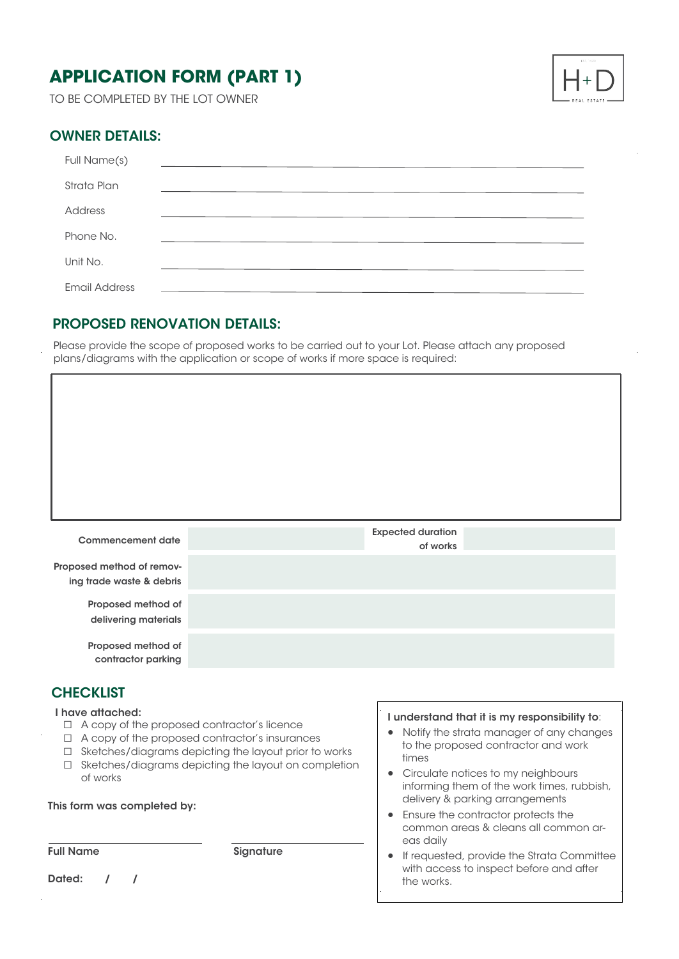# **APPLICATION FORM (PART 1)**

TO BE COMPLETED BY THE LOT OWNER



#### OWNER DETAILS:

| Full Name(s)         |  |
|----------------------|--|
| Strata Plan          |  |
| Address              |  |
| Phone No.            |  |
| Unit No.             |  |
| <b>Email Address</b> |  |

#### PROPOSED RENOVATION DETAILS:

Please provide the scope of proposed works to be carried out to your Lot. Please attach any proposed plans/diagrams with the application or scope of works if more space is required:

| <b>Commencement date</b>                   | <b>Expected duration</b><br>of works |  |
|--------------------------------------------|--------------------------------------|--|
| Proposed method of remov-                  |                                      |  |
| ing trade waste & debris                   |                                      |  |
|                                            |                                      |  |
| Proposed method of<br>delivering materials |                                      |  |
|                                            |                                      |  |
| Proposed method of                         |                                      |  |
| contractor parking                         |                                      |  |

#### **CHECKLIST**

I have attached:

- ☐ A copy of the proposed contractor's licence
- ☐ A copy of the proposed contractor's insurances
- ☐ Sketches/diagrams depicting the layout prior to works
- ☐ Sketches/diagrams depicting the layout on completion of works

This form was completed by:

Full Name Signature

Dated: / /

#### I understand that it is my responsibility to:

- · Notify the strata manager of any changes to the proposed contractor and work times
- Circulate notices to my neighbours informing them of the work times, rubbish, delivery & parking arrangements
- · Ensure the contractor protects the common areas & cleans all common ar eas daily
- If requested, provide the Strata Committee with access to inspect before and after the works.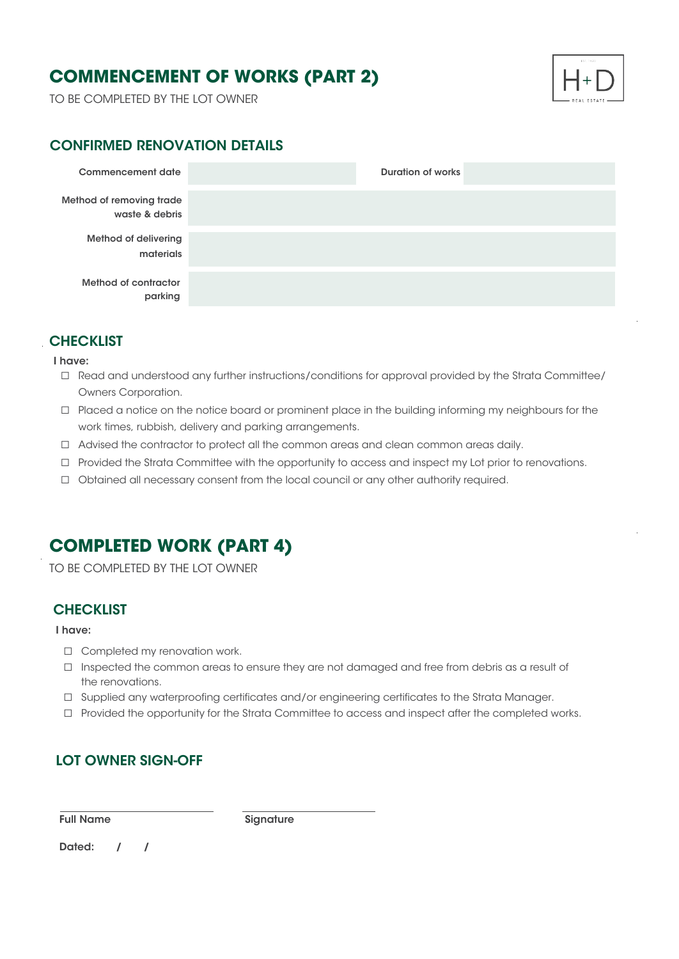# **COMMENCEMENT OF WORKS (PART 2)**

TO BE COMPLETED BY THE LOT OWNER



#### CONFIRMED RENOVATION DETAILS

| Commencement date                          | <b>Duration of works</b> |
|--------------------------------------------|--------------------------|
| Method of removing trade<br>waste & debris |                          |
| <b>Method of delivering</b><br>materials   |                          |
| Method of contractor<br>parking            |                          |

#### **CHECKLIST**

#### I have:

- □ Read and understood any further instructions/conditions for approval provided by the Strata Committee/ Owners Corporation.
- ☐ Placed a notice on the notice board or prominent place in the building informing my neighbours for the work times, rubbish, delivery and parking arrangements.
- ☐ Advised the contractor to protect all the common areas and clean common areas daily.
- ☐ Provided the Strata Committee with the opportunity to access and inspect my Lot prior to renovations.
- ☐ Obtained all necessary consent from the local council or any other authority required.

### **COMPLETED WORK (PART 4)**

TO BE COMPLETED BY THE LOT OWNER

#### **CHECKLIST**

#### I have:

- □ Completed my renovation work.
- ☐ Inspected the common areas to ensure they are not damaged and free from debris as a result of the renovations.
- □ Supplied any waterproofing certificates and/or engineering certificates to the Strata Manager.
- ☐ Provided the opportunity for the Strata Committee to access and inspect after the completed works.

#### LOT OWNER SIGN-OFF

Full Name Signature

Dated: / /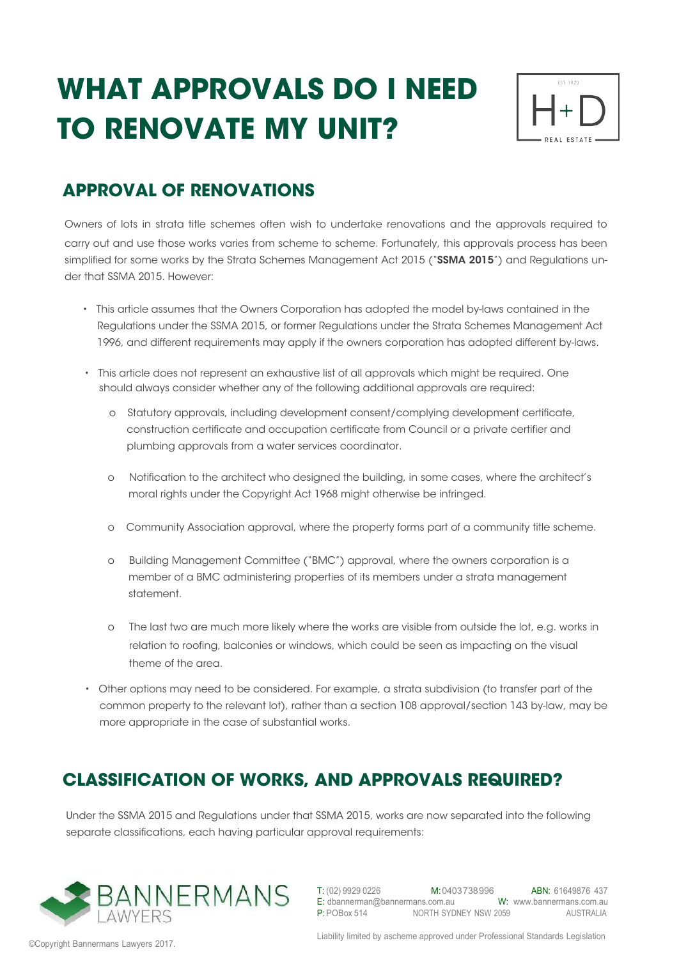# **WHAT APPROVALS DO I NEED TO RENOVATE MY UNIT?**



# **APPROVAL OF RENOVATIONS**

Owners of lots in strata title schemes often wish to undertake renovations and the approvals required to carry out and use those works varies from scheme to scheme. Fortunately, this approvals process has been simplified for some works by the Strata Schemes Management Act 2015 ("SSMA 2015") and Regulations under that SSMA 2015. However:

- This article assumes that the Owners Corporation has adopted the model by-laws contained in the Regulations under the SSMA 2015, or former Regulations under the Strata Schemes Management Act 1996, and different requirements may apply if the owners corporation has adopted different by-laws.
- This article does not represent an exhaustive list of all approvals which might be required. One should always consider whether any of the following additional approvals are required:
	- o Statutory approvals, including development consent/complying development certificate, construction certificate and occupation certificate from Council or a private certifier and plumbing approvals from a water services coordinator.
	- o Notification to the architect who designed the building, in some cases, where the architect's moral rights under the Copyright Act 1968 might otherwise be infringed.
	- o Community Association approval, where the property forms part of a community title scheme.
	- o Building Management Committee ("BMC") approval, where the owners corporation is a member of a BMC administering properties of its members under a strata management statement.
	- o The last two are much more likely where the works are visible from outside the lot, e.g. works in relation to roofing, balconies or windows, which could be seen as impacting on the visual theme of the area.
- Other options may need to be considered. For example, a strata subdivision (to transfer part of the common property to the relevant lot), rather than a section 108 approval/section 143 by-law, may be more appropriate in the case of substantial works.

# **CLASSIFICATION OF WORKS, AND APPROVALS REQUIRED?**

Under the SSMA 2015 and Regulations under that SSMA 2015, works are now separated into the following separate classifications, each having particular approval requirements:



T: (02) 9929 0226 M:0403738996 ABN: 61649876 437 W: www.bannermans.com.au AUSTRALIA E: dbannerman@bannermans.com.au P: POBox 514 NORTH SYDNEY NSW 2059

©Copyright Bannermans Lawyers 2017.

Liability limited by ascheme approved under Professional Standards Legislation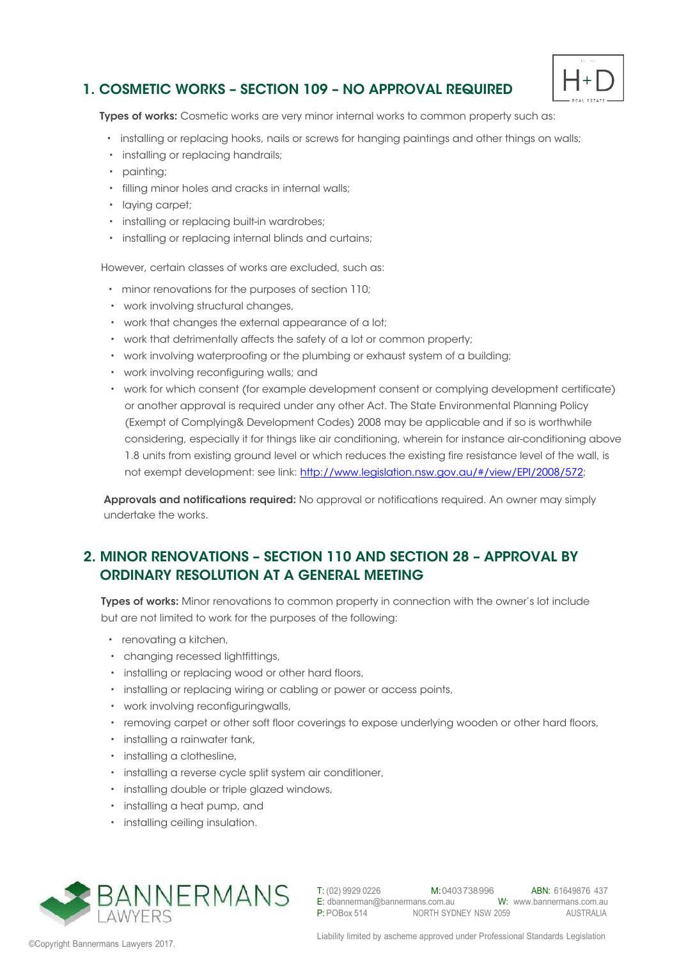#### 1. COSMETIC WORKS – SECTION 109 – NO APPROVAL REQUIRED



Types of works: Cosmetic works are very minor internal works to common property such as:

- installing or replacing hooks, nails or screws for hanging paintings and other things on walls;
- installing or replacing handrails;
- painting;
- filling minor holes and cracks in internal walls;
- laying carpet;
- installing or replacing built-in wardrobes;
- installing or replacing internal blinds and curtains;

However, certain classes of works are excluded, such as:

- minor renovations for the purposes of section 110;
- work involving structural changes,
- work that changes the external appearance of a lot;
- work that detrimentally affects the safety of a lot or common property;
- work involving waterproofing or the plumbing or exhaust system of a building;
- work involving reconfiguring walls; and
- work for which consent (for example development consent or complying development certificate) or another approval is required under any other Act. The State Environmental Planning Policy (Exempt of Complying& Development Codes) 2008 may be applicable and if so is worthwhile considering, especially it for things like air conditioning, wherein for instance air-conditioning above 1.8 units from existing ground level or which reduces the existing fire resistance level of the wall, is not exempt development: see link: http://www.legislation.nsw.gov.au/#/view/EPI/2008/572;

Approvals and notifications required: No approval or notifications required. An owner may simply undertake the works.

#### 2. MINOR RENOVATIONS – SECTION 110 AND SECTION 28 – APPROVAL BY ORDINARY RESOLUTION AT A GENERAL MEETING

Types of works: Minor renovations to common property in connection with the owner's lot include but are not limited to work for the purposes of the following:

- renovating a kitchen,
- changing recessed lightfittings,
- installing or replacing wood or other hard floors,
- installing or replacing wiring or cabling or power or access points,
- work involving reconfiguringwalls,
- removing carpet or other soft floor coverings to expose underlying wooden or other hard floors,
- installing a rainwater tank,
- installing a clothesline,
- installing a reverse cycle split system air conditioner,
- installing double or triple glazed windows,
- installing a heat pump, and
- installing ceiling insulation.



T: (02) 9929 0226 M: 0403 738 996 ABN: 61649876 437 E: dbannerman@bannermans.com.au W: www.bannermans.com.au AUSTRALIA P: POBox 514 NORTH SYDNEY NSW 2059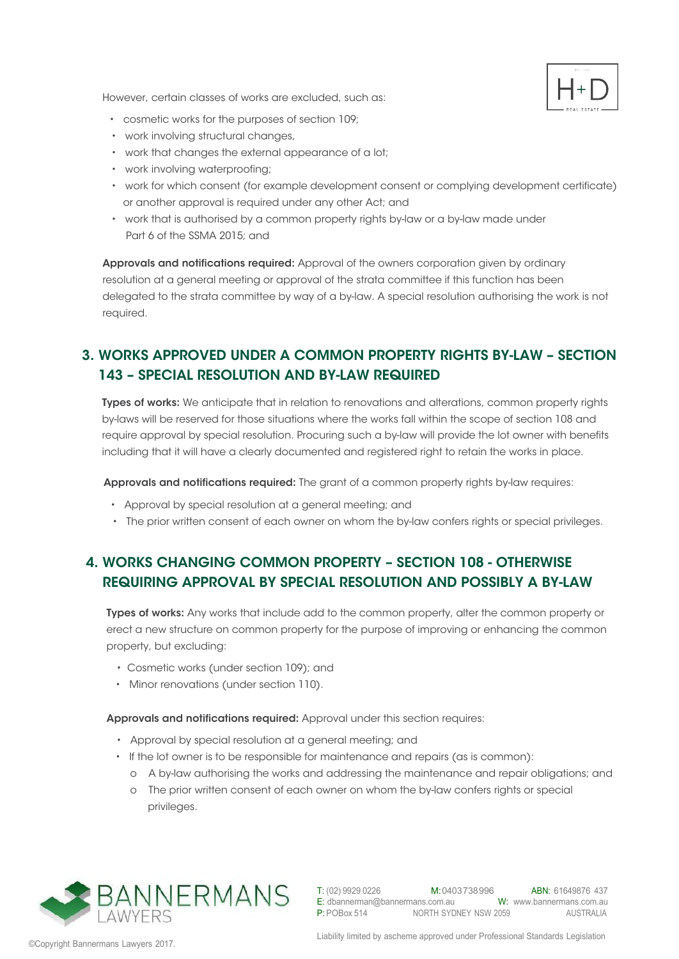However, certain classes of works are excluded, such as:



- cosmetic works for the purposes of section 109;
- work involving structural changes,
- work that changes the external appearance of a lot;
- work involving waterproofing;
- work for which consent (for example development consent or complying development certificate) or another approval is required under any other Act; and
- work that is authorised by a common property rights by-law or a by-law made under Part 6 of the SSMA 2015; and

Approvals and notifications required: Approval of the owners corporation given by ordinary resolution at a general meeting or approval of the strata committee if this function has been delegated to the strata committee by way of a by-law. A special resolution authorising the work is not required.

### 3. WORKS APPROVED UNDER A COMMON PROPERTY RIGHTS BY-LAW – SECTION 143 – SPECIAL RESOLUTION AND BY-LAW REQUIRED

Types of works: We anticipate that in relation to renovations and alterations, common property rights by-laws will be reserved for those situations where the works fall within the scope of section 108 and require approval by special resolution. Procuring such a by-law will provide the lot owner with benefits including that it will have a clearly documented and registered right to retain the works in place.

Approvals and notifications required: The grant of a common property rights by-law requires:

- Approval by special resolution at a general meeting; and
- The prior written consent of each owner on whom the by-law confers rights or special privileges.

#### 4. WORKS CHANGING COMMON PROPERTY – SECTION 108 - OTHERWISE REQUIRING APPROVAL BY SPECIAL RESOLUTION AND POSSIBLY A BY-LAW

Types of works: Any works that include add to the common property, alter the common property or erect a new structure on common property for the purpose of improving or enhancing the common property, but excluding:

- Cosmetic works (under section 109); and
- Minor renovations (under section 110).

Approvals and notifications required: Approval under this section requires:

- Approval by special resolution at a general meeting; and
- If the lot owner is to be responsible for maintenance and repairs (as is common):
	- o A by-law authorising the works and addressing the maintenance and repair obligations; and
	- o The prior written consent of each owner on whom the by-law confers rights or special privileges.

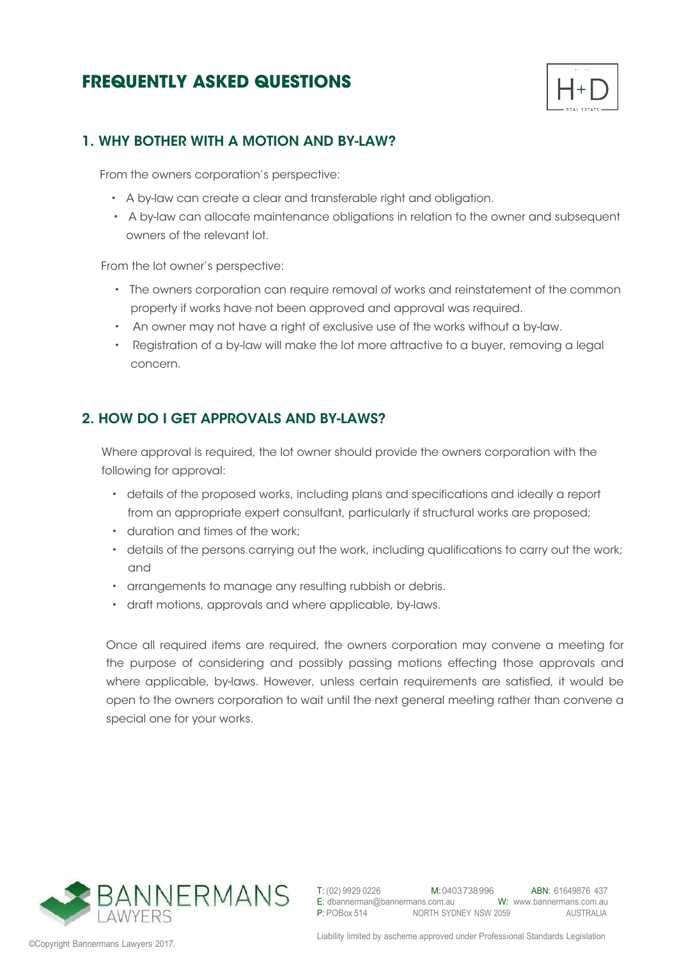# **FREQUENTLY ASKED QUESTIONS**



#### 1. WHY BOTHER WITH A MOTION AND BY-LAW?

From the owners corporation's perspective:

- A by-law can create a clear and transferable right and obligation.
- A by-law can allocate maintenance obligations in relation to the owner and subsequent owners of the relevant lot.

From the lot owner's perspective:

- The owners corporation can require removal of works and reinstatement of the common property if works have not been approved and approval was required.
- An owner may not have a right of exclusive use of the works without a by-law.
- Registration of a by-law will make the lot more attractive to a buyer, removing a legal concern.

#### 2. HOW DO I GET APPROVALS AND BY-LAWS?

Where approval is required, the lot owner should provide the owners corporation with the following for approval:

- details of the proposed works, including plans and specifications and ideally a report from an appropriate expert consultant, particularly if structural works are proposed;
- duration and times of the work;
- details of the persons carrying out the work, including qualifications to carry out the work; and
- arrangements to manage any resulting rubbish or debris.
- draft motions, approvals and where applicable, by-laws.

Once all required items are required, the owners corporation may convene a meeting for the purpose of considering and possibly passing motions effecting those approvals and where applicable, by-laws. However, unless certain requirements are satisfied, it would be open to the owners corporation to wait until the next general meeting rather than convene a special one for your works.

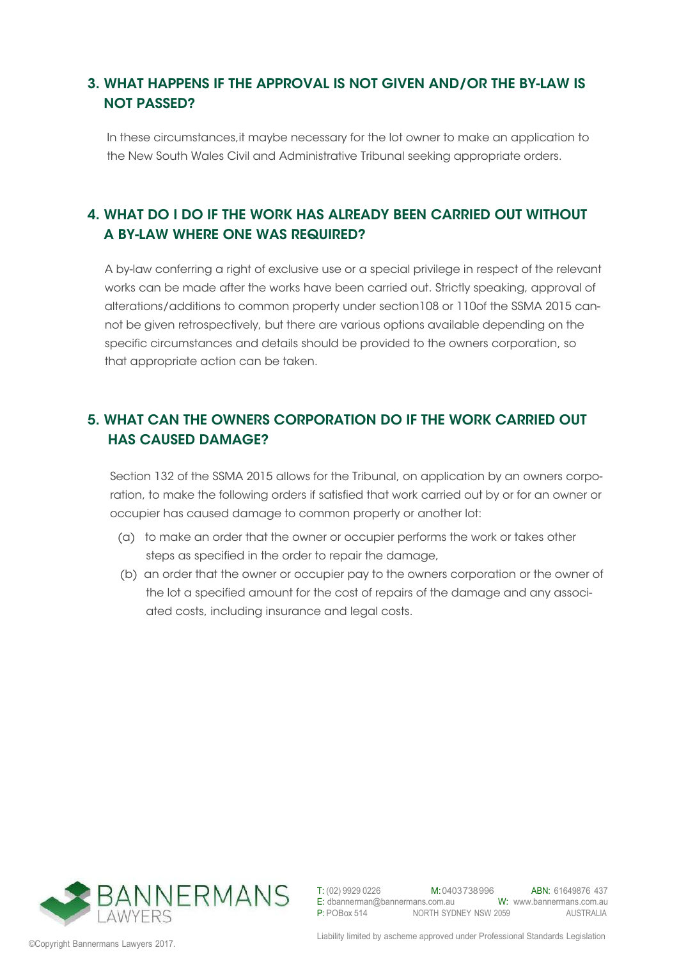#### 3. WHAT HAPPENS IF THE APPROVAL IS NOT GIVEN AND/OR THE BY-LAW IS NOT PASSED?

In these circumstances,it maybe necessary for the lot owner to make an application to the New South Wales Civil and Administrative Tribunal seeking appropriate orders.

### 4. WHAT DO I DO IF THE WORK HAS ALREADY BEEN CARRIED OUT WITHOUT A BY-LAW WHERE ONE WAS REQUIRED?

A by-law conferring a right of exclusive use or a special privilege in respect of the relevant works can be made after the works have been carried out. Strictly speaking, approval of alterations/additions to common property under section108 or 110of the SSMA 2015 cannot be given retrospectively, but there are various options available depending on the specific circumstances and details should be provided to the owners corporation, so that appropriate action can be taken.

### 5. WHAT CAN THE OWNERS CORPORATION DO IF THE WORK CARRIED OUT HAS CAUSED DAMAGE?

Section 132 of the SSMA 2015 allows for the Tribunal, on application by an owners corporation, to make the following orders if satisfied that work carried out by or for an owner or occupier has caused damage to common property or another lot:

- (a) to make an order that the owner or occupier performs the work or takes other steps as specified in the order to repair the damage,
- (b) an order that the owner or occupier pay to the owners corporation or the owner of the lot a specified amount for the cost of repairs of the damage and any associ ated costs, including insurance and legal costs.

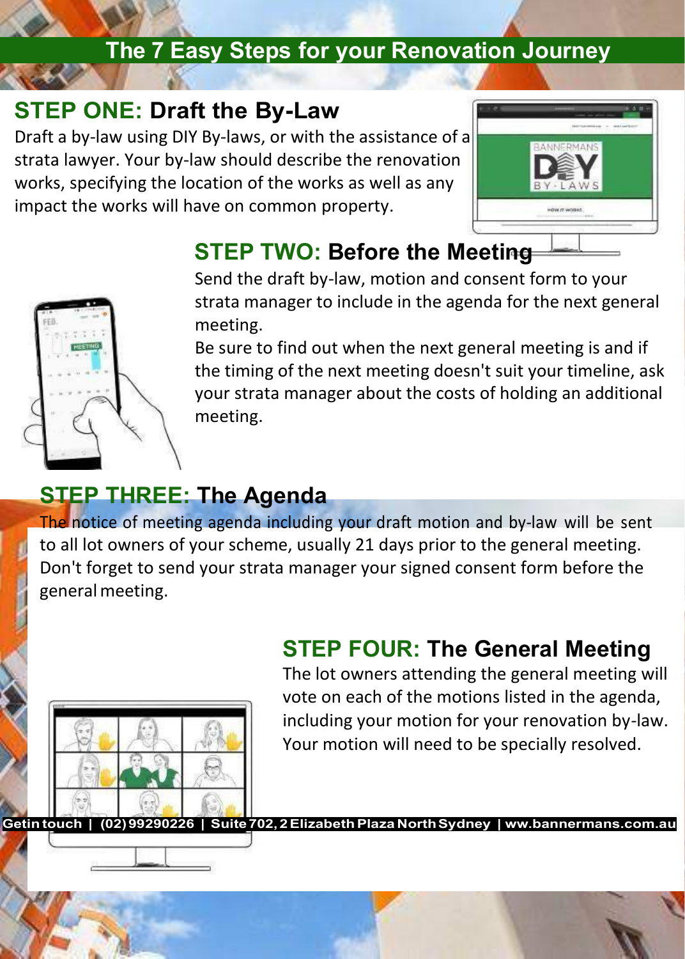#### **The 7 Easy Steps for your Renovation Journey**

#### **STEP ONE: Draft the By-Law**

Draft a by-law using DIY By-laws, or with the assistance of a strata lawyer. Your by-law should describe the renovation works, specifying the location of the works as well as any impact the works will have on common property.





#### **STEP TWO: Before the Meeting**

Send the draft by-law, motion and consent form to your strata manager to include in the agenda for the next general meeting.

Be sure to find out when the next general meeting is and if the timing of the next meeting doesn't suit your timeline, ask your strata manager about the costs of holding an additional meeting.

#### **STEP THREE: The Agenda**

The notice of meeting agenda including your draft motion and by-law will be sent to all lot owners of your scheme, usually 21 days prior to the general meeting. Don't forget to send your strata manager your signed consent form before the generalmeeting.



#### **STEP FOUR: The General Meeting**

The lot owners attending the general meeting will vote on each of the motions listed in the agenda, including your motion for your renovation by-law. Your motion will need to be specially resolved.

**Getin touch | (02)99290226 | Suite702, 2ElizabethPlazaNorthSydney | ww.bannermans.com.au**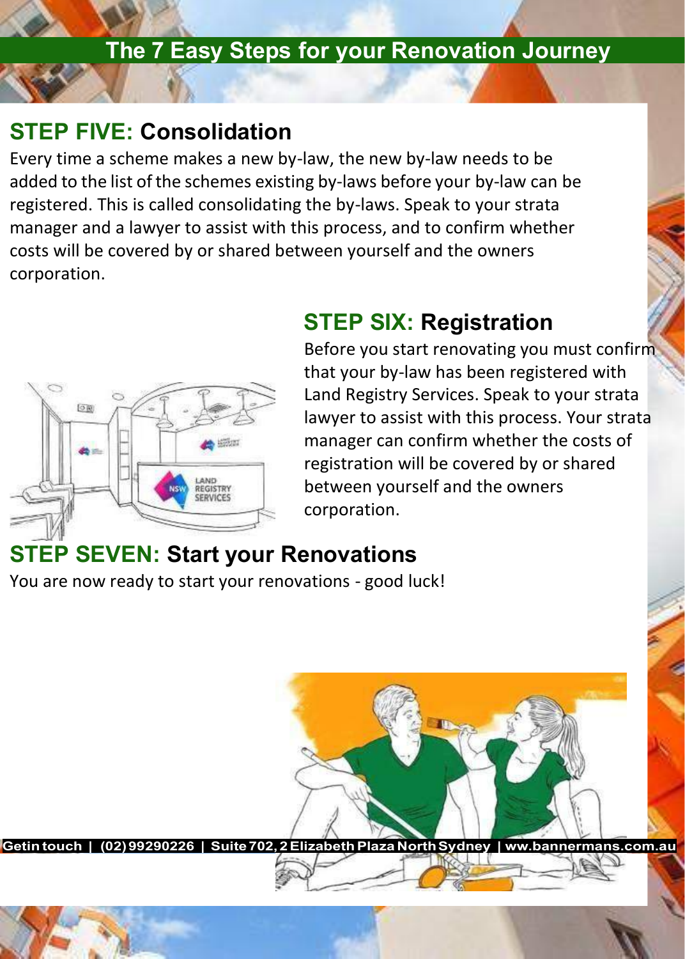#### **The 7 Easy Steps for your Renovation Journey**

#### **STEP FIVE: Consolidation**

Every time a scheme makes a new by-law, the new by-law needs to be added to the list of the schemes existing by-laws before your by-law can be registered. This is called consolidating the by-laws. Speak to your strata manager and a lawyer to assist with this process, and to confirm whether costs will be covered by or shared between yourself and the owners corporation.



#### **STEP SIX: Registration**

Before you start renovating you must confirm that your by-law has been registered with Land Registry Services. Speak to your strata lawyer to assist with this process. Your strata manager can confirm whether the costs of registration will be covered by or shared between yourself and the owners corporation.

#### **STEP SEVEN: Start your Renovations**

You are now ready to start your renovations - good luck!

**Getin touch | (02)99290226 | Suite702, 2ElizabethPlazaNorthSydney | ww.bannermans.com.au**